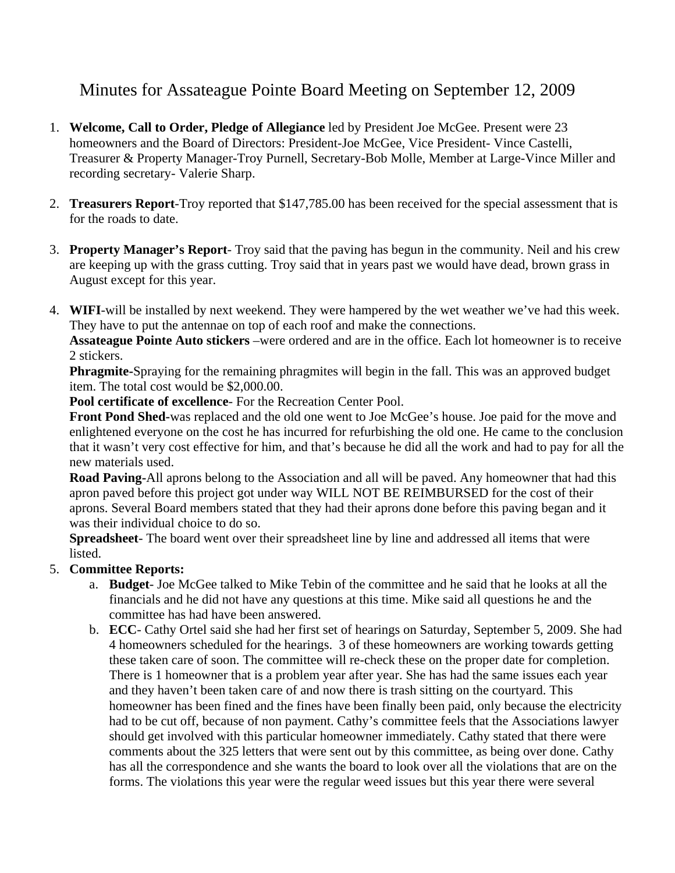## Minutes for Assateague Pointe Board Meeting on September 12, 2009

- 1. **Welcome, Call to Order, Pledge of Allegiance** led by President Joe McGee. Present were 23 homeowners and the Board of Directors: President-Joe McGee, Vice President- Vince Castelli, Treasurer & Property Manager-Troy Purnell, Secretary-Bob Molle, Member at Large-Vince Miller and recording secretary- Valerie Sharp.
- 2. **Treasurers Report**-Troy reported that \$147,785.00 has been received for the special assessment that is for the roads to date.
- 3. **Property Manager's Report** Troy said that the paving has begun in the community. Neil and his crew are keeping up with the grass cutting. Troy said that in years past we would have dead, brown grass in August except for this year.
- 4. **WIFI**-will be installed by next weekend. They were hampered by the wet weather we've had this week. They have to put the antennae on top of each roof and make the connections.

**Assateague Pointe Auto stickers** –were ordered and are in the office. Each lot homeowner is to receive 2 stickers.

**Phragmite-**Spraying for the remaining phragmites will begin in the fall. This was an approved budget item. The total cost would be \$2,000.00.

**Pool certificate of excellence**- For the Recreation Center Pool.

**Front Pond Shed-**was replaced and the old one went to Joe McGee's house. Joe paid for the move and enlightened everyone on the cost he has incurred for refurbishing the old one. He came to the conclusion that it wasn't very cost effective for him, and that's because he did all the work and had to pay for all the new materials used.

**Road Paving-**All aprons belong to the Association and all will be paved. Any homeowner that had this apron paved before this project got under way WILL NOT BE REIMBURSED for the cost of their aprons. Several Board members stated that they had their aprons done before this paving began and it was their individual choice to do so.

**Spreadsheet**- The board went over their spreadsheet line by line and addressed all items that were listed.

## 5. **Committee Reports:**

- a. **Budget** Joe McGee talked to Mike Tebin of the committee and he said that he looks at all the financials and he did not have any questions at this time. Mike said all questions he and the committee has had have been answered.
- b. **ECC** Cathy Ortel said she had her first set of hearings on Saturday, September 5, 2009. She had 4 homeowners scheduled for the hearings. 3 of these homeowners are working towards getting these taken care of soon. The committee will re-check these on the proper date for completion. There is 1 homeowner that is a problem year after year. She has had the same issues each year and they haven't been taken care of and now there is trash sitting on the courtyard. This homeowner has been fined and the fines have been finally been paid, only because the electricity had to be cut off, because of non payment. Cathy's committee feels that the Associations lawyer should get involved with this particular homeowner immediately. Cathy stated that there were comments about the 325 letters that were sent out by this committee, as being over done. Cathy has all the correspondence and she wants the board to look over all the violations that are on the forms. The violations this year were the regular weed issues but this year there were several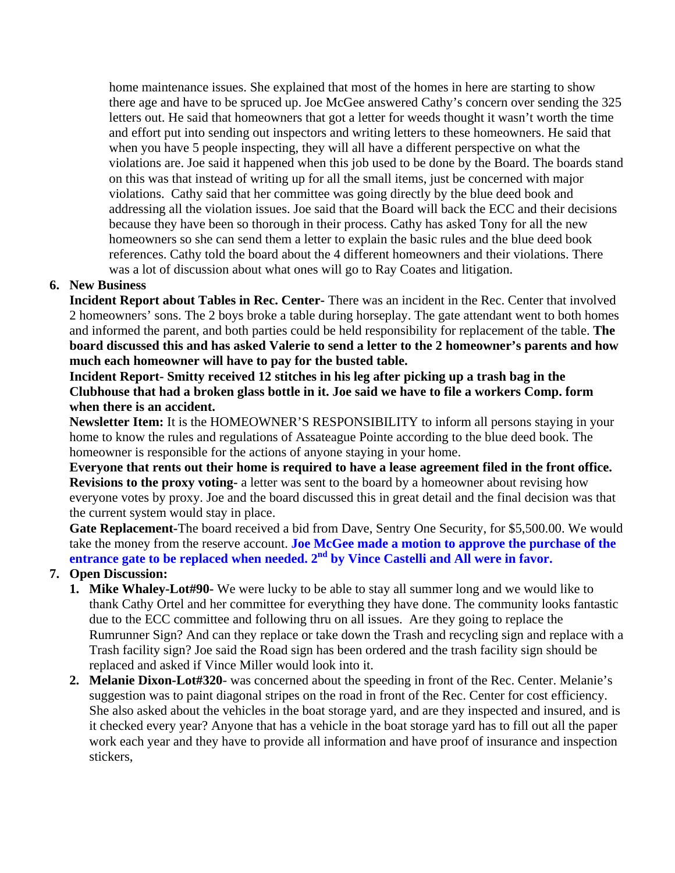home maintenance issues. She explained that most of the homes in here are starting to show there age and have to be spruced up. Joe McGee answered Cathy's concern over sending the 325 letters out. He said that homeowners that got a letter for weeds thought it wasn't worth the time and effort put into sending out inspectors and writing letters to these homeowners. He said that when you have 5 people inspecting, they will all have a different perspective on what the violations are. Joe said it happened when this job used to be done by the Board. The boards stand on this was that instead of writing up for all the small items, just be concerned with major violations. Cathy said that her committee was going directly by the blue deed book and addressing all the violation issues. Joe said that the Board will back the ECC and their decisions because they have been so thorough in their process. Cathy has asked Tony for all the new homeowners so she can send them a letter to explain the basic rules and the blue deed book references. Cathy told the board about the 4 different homeowners and their violations. There was a lot of discussion about what ones will go to Ray Coates and litigation.

## **6. New Business**

**Incident Report about Tables in Rec. Center-** There was an incident in the Rec. Center that involved 2 homeowners' sons. The 2 boys broke a table during horseplay. The gate attendant went to both homes and informed the parent, and both parties could be held responsibility for replacement of the table. **The board discussed this and has asked Valerie to send a letter to the 2 homeowner's parents and how much each homeowner will have to pay for the busted table.** 

**Incident Report- Smitty received 12 stitches in his leg after picking up a trash bag in the Clubhouse that had a broken glass bottle in it. Joe said we have to file a workers Comp. form when there is an accident.** 

**Newsletter Item:** It is the HOMEOWNER'S RESPONSIBILITY to inform all persons staying in your home to know the rules and regulations of Assateague Pointe according to the blue deed book. The homeowner is responsible for the actions of anyone staying in your home.

**Everyone that rents out their home is required to have a lease agreement filed in the front office. Revisions to the proxy voting-** a letter was sent to the board by a homeowner about revising how everyone votes by proxy. Joe and the board discussed this in great detail and the final decision was that the current system would stay in place.

**Gate Replacement-**The board received a bid from Dave, Sentry One Security, for \$5,500.00. We would take the money from the reserve account. **Joe McGee made a motion to approve the purchase of the**  entrance gate to be replaced when needed. 2<sup>nd</sup> by Vince Castelli and All were in favor.

## **7. Open Discussion:**

- **1. Mike Whaley-Lot#90-** We were lucky to be able to stay all summer long and we would like to thank Cathy Ortel and her committee for everything they have done. The community looks fantastic due to the ECC committee and following thru on all issues. Are they going to replace the Rumrunner Sign? And can they replace or take down the Trash and recycling sign and replace with a Trash facility sign? Joe said the Road sign has been ordered and the trash facility sign should be replaced and asked if Vince Miller would look into it.
- **2. Melanie Dixon-Lot#320** was concerned about the speeding in front of the Rec. Center. Melanie's suggestion was to paint diagonal stripes on the road in front of the Rec. Center for cost efficiency. She also asked about the vehicles in the boat storage yard, and are they inspected and insured, and is it checked every year? Anyone that has a vehicle in the boat storage yard has to fill out all the paper work each year and they have to provide all information and have proof of insurance and inspection stickers,